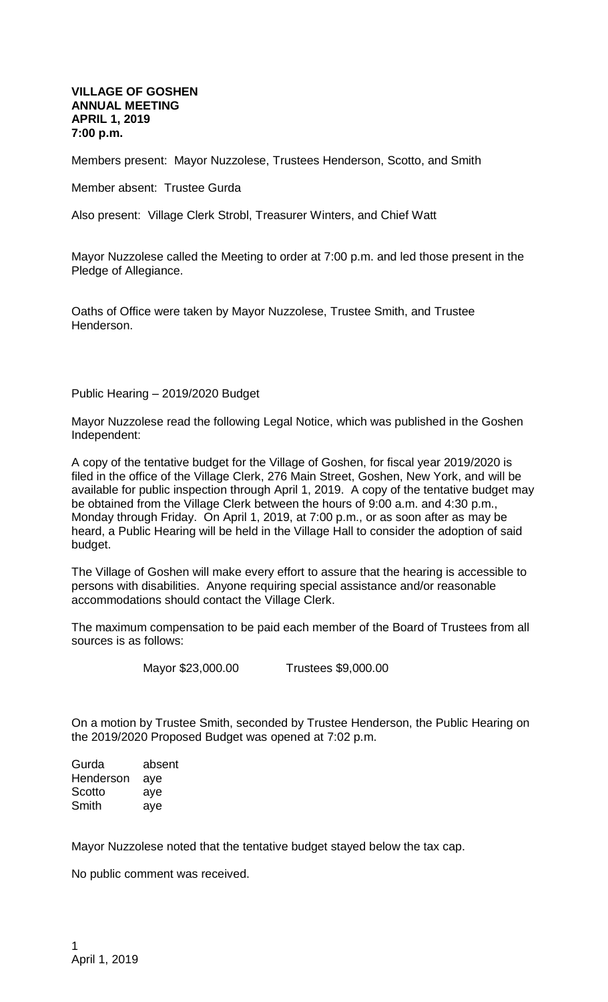## **VILLAGE OF GOSHEN ANNUAL MEETING APRIL 1, 2019 7:00 p.m.**

Members present: Mayor Nuzzolese, Trustees Henderson, Scotto, and Smith

Member absent: Trustee Gurda

Also present: Village Clerk Strobl, Treasurer Winters, and Chief Watt

Mayor Nuzzolese called the Meeting to order at 7:00 p.m. and led those present in the Pledge of Allegiance.

Oaths of Office were taken by Mayor Nuzzolese, Trustee Smith, and Trustee Henderson.

Public Hearing – 2019/2020 Budget

Mayor Nuzzolese read the following Legal Notice, which was published in the Goshen Independent:

A copy of the tentative budget for the Village of Goshen, for fiscal year 2019/2020 is filed in the office of the Village Clerk, 276 Main Street, Goshen, New York, and will be available for public inspection through April 1, 2019. A copy of the tentative budget may be obtained from the Village Clerk between the hours of 9:00 a.m. and 4:30 p.m., Monday through Friday. On April 1, 2019, at 7:00 p.m., or as soon after as may be heard, a Public Hearing will be held in the Village Hall to consider the adoption of said budget.

The Village of Goshen will make every effort to assure that the hearing is accessible to persons with disabilities. Anyone requiring special assistance and/or reasonable accommodations should contact the Village Clerk.

The maximum compensation to be paid each member of the Board of Trustees from all sources is as follows:

Mayor \$23,000.00 Trustees \$9,000.00

On a motion by Trustee Smith, seconded by Trustee Henderson, the Public Hearing on the 2019/2020 Proposed Budget was opened at 7:02 p.m.

Gurda absent Henderson aye Scotto aye Smith aye

Mayor Nuzzolese noted that the tentative budget stayed below the tax cap.

No public comment was received.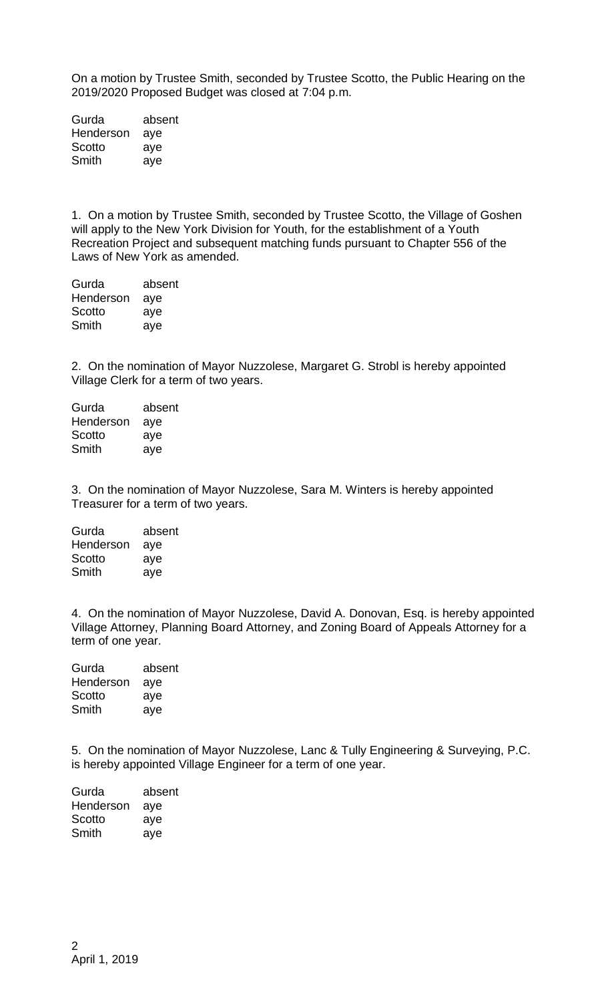On a motion by Trustee Smith, seconded by Trustee Scotto, the Public Hearing on the 2019/2020 Proposed Budget was closed at 7:04 p.m.

Gurda absent Henderson aye Scotto aye Smith aye

1. On a motion by Trustee Smith, seconded by Trustee Scotto, the Village of Goshen will apply to the New York Division for Youth, for the establishment of a Youth Recreation Project and subsequent matching funds pursuant to Chapter 556 of the Laws of New York as amended.

Gurda absent Henderson aye Scotto aye Smith aye

2. On the nomination of Mayor Nuzzolese, Margaret G. Strobl is hereby appointed Village Clerk for a term of two years.

| absent |
|--------|
| aye    |
| aye    |
| aye    |
|        |

3. On the nomination of Mayor Nuzzolese, Sara M. Winters is hereby appointed Treasurer for a term of two years.

| Gurda     | absent |
|-----------|--------|
| Henderson | aye    |
| Scotto    | aye    |
| Smith     | aye    |

4. On the nomination of Mayor Nuzzolese, David A. Donovan, Esq. is hereby appointed Village Attorney, Planning Board Attorney, and Zoning Board of Appeals Attorney for a term of one year.

| absent |
|--------|
| aye    |
| aye    |
| aye    |
|        |

5. On the nomination of Mayor Nuzzolese, Lanc & Tully Engineering & Surveying, P.C. is hereby appointed Village Engineer for a term of one year.

| absent |
|--------|
| aye    |
| aye    |
| aye    |
|        |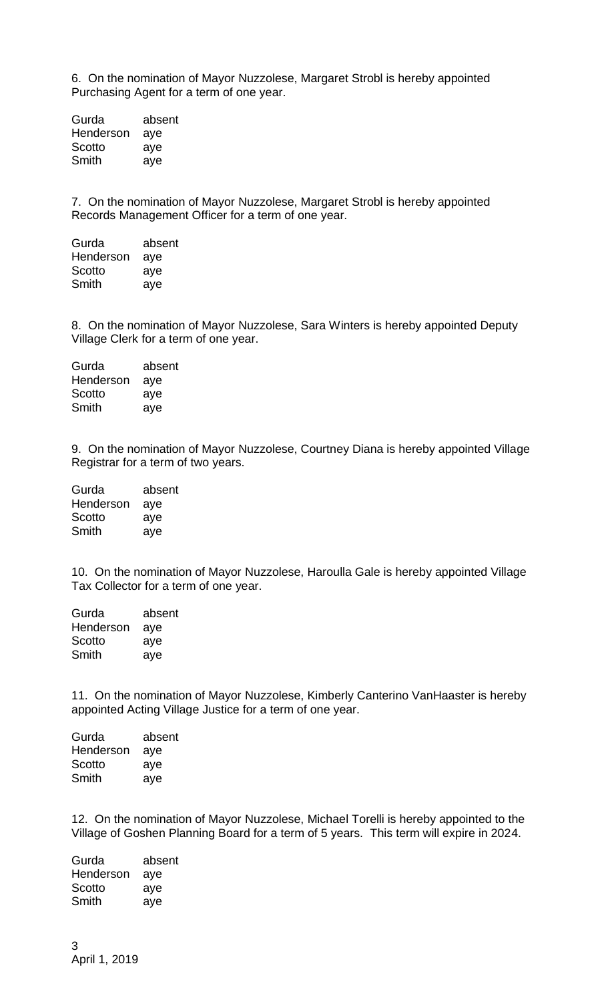6. On the nomination of Mayor Nuzzolese, Margaret Strobl is hereby appointed Purchasing Agent for a term of one year.

Gurda absent Henderson aye Scotto aye Smith aye

7. On the nomination of Mayor Nuzzolese, Margaret Strobl is hereby appointed Records Management Officer for a term of one year.

| Gurda     | absent |
|-----------|--------|
| Henderson | aye    |
| Scotto    | aye    |
| Smith     | aye    |

8. On the nomination of Mayor Nuzzolese, Sara Winters is hereby appointed Deputy Village Clerk for a term of one year.

| absent |
|--------|
| aye    |
| aye    |
| aye    |
|        |

9. On the nomination of Mayor Nuzzolese, Courtney Diana is hereby appointed Village Registrar for a term of two years.

| Gurda     | absent |
|-----------|--------|
| Henderson | aye    |
| Scotto    | aye    |
| Smith     | aye    |

10. On the nomination of Mayor Nuzzolese, Haroulla Gale is hereby appointed Village Tax Collector for a term of one year.

| absent |
|--------|
| aye    |
| aye    |
| aye    |
|        |

11. On the nomination of Mayor Nuzzolese, Kimberly Canterino VanHaaster is hereby appointed Acting Village Justice for a term of one year.

| absent |
|--------|
| aye    |
| aye    |
| aye    |
|        |

12. On the nomination of Mayor Nuzzolese, Michael Torelli is hereby appointed to the Village of Goshen Planning Board for a term of 5 years. This term will expire in 2024.

Gurda absent Henderson aye Scotto aye Smith aye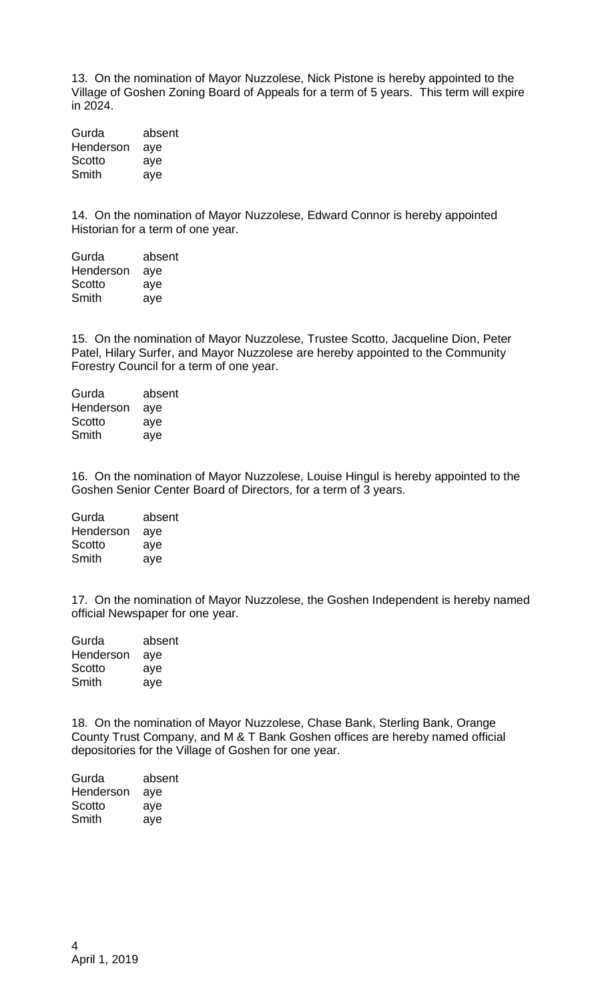13. On the nomination of Mayor Nuzzolese, Nick Pistone is hereby appointed to the Village of Goshen Zoning Board of Appeals for a term of 5 years. This term will expire in 2024.

Gurda absent Henderson aye Scotto aye Smith aye

14. On the nomination of Mayor Nuzzolese, Edward Connor is hereby appointed Historian for a term of one year.

| Gurda     | absent |
|-----------|--------|
| Henderson | aye    |
| Scotto    | aye    |
| Smith     | aye    |

15. On the nomination of Mayor Nuzzolese, Trustee Scotto, Jacqueline Dion, Peter Patel, Hilary Surfer, and Mayor Nuzzolese are hereby appointed to the Community Forestry Council for a term of one year.

| Gurda     | absent |
|-----------|--------|
| Henderson | aye    |
| Scotto    | aye    |
| Smith     | aye    |

16. On the nomination of Mayor Nuzzolese, Louise Hingul is hereby appointed to the Goshen Senior Center Board of Directors, for a term of 3 years.

Gurda absent Henderson aye Scotto aye Smith aye

17. On the nomination of Mayor Nuzzolese, the Goshen Independent is hereby named official Newspaper for one year.

| Gurda     | absent |
|-----------|--------|
| Henderson | aye    |
| Scotto    | aye    |
| Smith     | aye    |

18. On the nomination of Mayor Nuzzolese, Chase Bank, Sterling Bank, Orange County Trust Company, and M & T Bank Goshen offices are hereby named official depositories for the Village of Goshen for one year.

| absent |
|--------|
| aye    |
| aye    |
| aye    |
|        |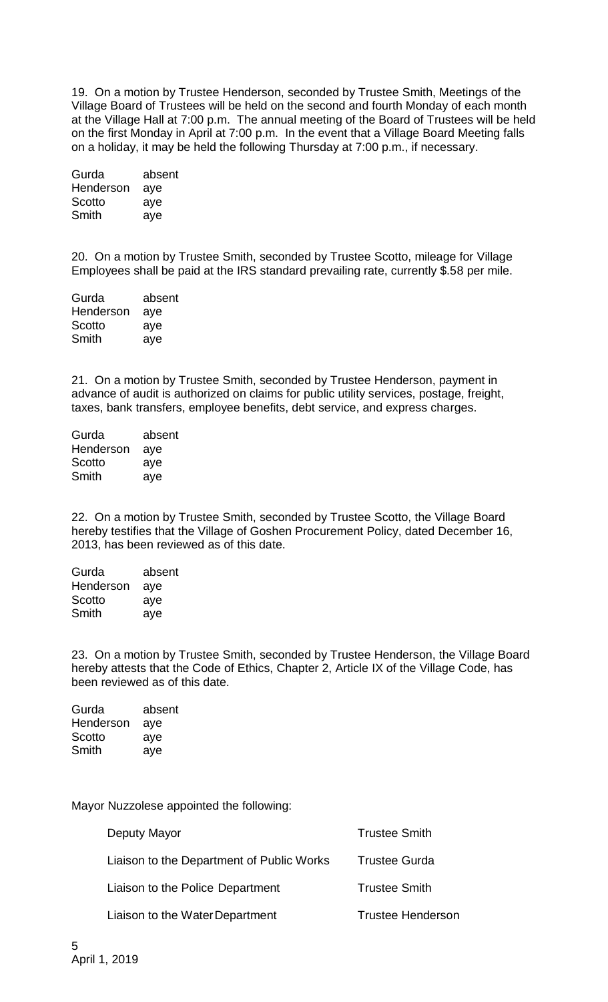19. On a motion by Trustee Henderson, seconded by Trustee Smith, Meetings of the Village Board of Trustees will be held on the second and fourth Monday of each month at the Village Hall at 7:00 p.m. The annual meeting of the Board of Trustees will be held on the first Monday in April at 7:00 p.m. In the event that a Village Board Meeting falls on a holiday, it may be held the following Thursday at 7:00 p.m., if necessary.

| absent |
|--------|
|        |
|        |
|        |
|        |

20. On a motion by Trustee Smith, seconded by Trustee Scotto, mileage for Village Employees shall be paid at the IRS standard prevailing rate, currently \$.58 per mile.

| Gurda     | absent |
|-----------|--------|
| Henderson | aye    |
| Scotto    | aye    |
| Smith     | aye    |

21. On a motion by Trustee Smith, seconded by Trustee Henderson, payment in advance of audit is authorized on claims for public utility services, postage, freight, taxes, bank transfers, employee benefits, debt service, and express charges.

| Gurda     | absent |
|-----------|--------|
| Henderson | aye    |
| Scotto    | aye    |
| Smith     | aye    |

22. On a motion by Trustee Smith, seconded by Trustee Scotto, the Village Board hereby testifies that the Village of Goshen Procurement Policy, dated December 16, 2013, has been reviewed as of this date.

| Gurda     | absent |
|-----------|--------|
| Henderson | aye    |
| Scotto    | aye    |
| Smith     | aye    |

23. On a motion by Trustee Smith, seconded by Trustee Henderson, the Village Board hereby attests that the Code of Ethics, Chapter 2, Article IX of the Village Code, has been reviewed as of this date.

| Gurda     | absent |
|-----------|--------|
| Henderson | aye    |
| Scotto    | aye    |
| Smith     | aye    |

Mayor Nuzzolese appointed the following:

| Deputy Mayor                              | <b>Trustee Smith</b>     |
|-------------------------------------------|--------------------------|
| Liaison to the Department of Public Works | <b>Trustee Gurda</b>     |
| Liaison to the Police Department          | <b>Trustee Smith</b>     |
| Liaison to the Water Department           | <b>Trustee Henderson</b> |